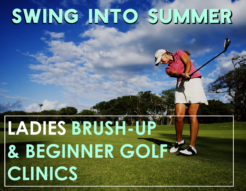# SWING INTO SUMMER

## **LADIES BRUSH-UP & BEGINNER GOTFRA CLINICS**